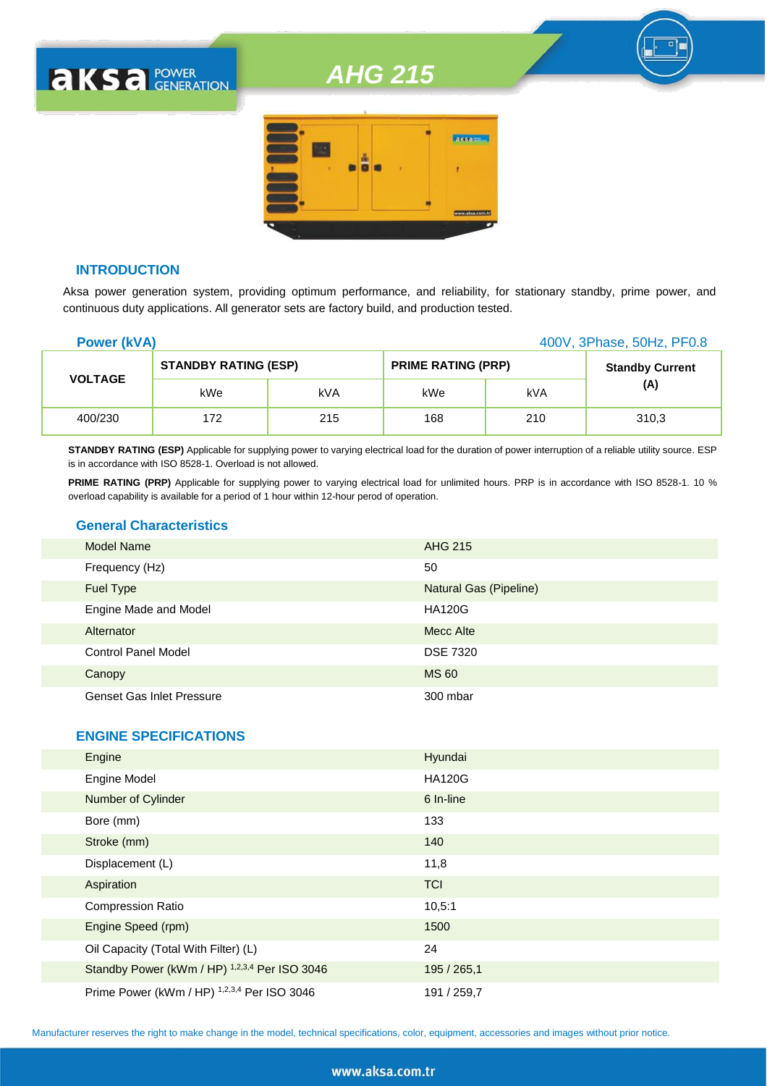# *AHG 215*





#### **INTRODUCTION**

Aksa power generation system, providing optimum performance, and reliability, for stationary standby, prime power, and continuous duty applications. All generator sets are factory build, and production tested.

| <b>Power (kVA)</b> |                             |     |                           |     | 400V, 3Phase, 50Hz, PF0.8 |
|--------------------|-----------------------------|-----|---------------------------|-----|---------------------------|
|                    | <b>STANDBY RATING (ESP)</b> |     | <b>PRIME RATING (PRP)</b> |     | <b>Standby Current</b>    |
| <b>VOLTAGE</b>     | kWe                         | kVA | kWe                       | kVA | (A)                       |
| 400/230            | 172                         | 215 | 168                       | 210 | 310.3                     |

**STANDBY RATING (ESP)** Applicable for supplying power to varying electrical load for the duration of power interruption of a reliable utility source. ESP is in accordance with ISO 8528-1. Overload is not allowed.

PRIME RATING (PRP) Applicable for supplying power to varying electrical load for unlimited hours. PRP is in accordance with ISO 8528-1. 10 % overload capability is available for a period of 1 hour within 12-hour perod of operation.

#### **General Characteristics**

| Model Name                       | AHG 215                |
|----------------------------------|------------------------|
| Frequency (Hz)                   | 50                     |
| <b>Fuel Type</b>                 | Natural Gas (Pipeline) |
| Engine Made and Model            | <b>HA120G</b>          |
| Alternator                       | Mecc Alte              |
| <b>Control Panel Model</b>       | <b>DSE 7320</b>        |
| Canopy                           | <b>MS 60</b>           |
| <b>Genset Gas Inlet Pressure</b> | 300 mbar               |

#### **ENGINE SPECIFICATIONS**

| Engine                                        | Hyundai       |
|-----------------------------------------------|---------------|
| <b>Engine Model</b>                           | <b>HA120G</b> |
| Number of Cylinder                            | 6 In-line     |
| Bore (mm)                                     | 133           |
| Stroke (mm)                                   | 140           |
| Displacement (L)                              | 11,8          |
| Aspiration                                    | <b>TCI</b>    |
| <b>Compression Ratio</b>                      | 10,5:1        |
| Engine Speed (rpm)                            | 1500          |
| Oil Capacity (Total With Filter) (L)          | 24            |
| Standby Power (kWm / HP) 1,2,3,4 Per ISO 3046 | 195 / 265,1   |
| Prime Power (kWm / HP) 1,2,3,4 Per ISO 3046   | 191 / 259,7   |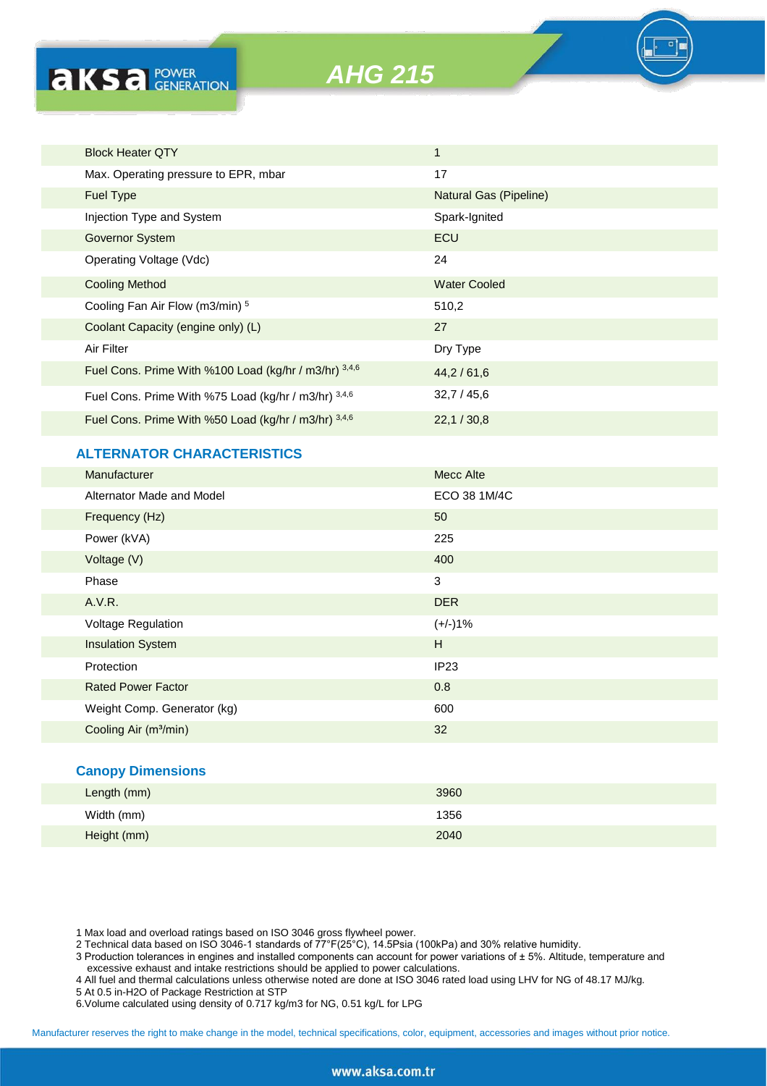| o e |  |  |  |
|-----|--|--|--|
|     |  |  |  |

| <b>Block Heater QTY</b>                               | $\mathbf{1}$                  |
|-------------------------------------------------------|-------------------------------|
| Max. Operating pressure to EPR, mbar                  | 17                            |
| <b>Fuel Type</b>                                      | <b>Natural Gas (Pipeline)</b> |
| Injection Type and System                             | Spark-Ignited                 |
| Governor System                                       | ECU                           |
| Operating Voltage (Vdc)                               | 24                            |
| <b>Cooling Method</b>                                 | <b>Water Cooled</b>           |
| Cooling Fan Air Flow (m3/min) 5                       | 510,2                         |
| Coolant Capacity (engine only) (L)                    | 27                            |
| Air Filter                                            | Dry Type                      |
| Fuel Cons. Prime With %100 Load (kg/hr / m3/hr) 3,4,6 | 44,2/61,6                     |
| Fuel Cons. Prime With %75 Load (kg/hr / m3/hr) 3,4,6  | 32,7/45,6                     |
| Fuel Cons. Prime With %50 Load (kg/hr / m3/hr) 3,4,6  | 22,1/30,8                     |
| <b>ALTERNATOR CHARACTERISTICS</b>                     |                               |
| Manufacturer                                          | Mecc Alte                     |
| Alternator Made and Model                             | ECO 38 1M/4C                  |
| Frequency (Hz)                                        | 50                            |
| Power (kVA)                                           | 225                           |
| Voltage (V)                                           | 400                           |
| Phase                                                 | 3                             |
| A.V.R.                                                | <b>DER</b>                    |
| Voltage Regulation                                    | $(+/-)1%$                     |
| <b>Insulation System</b>                              | H                             |
| Protection                                            | IP <sub>23</sub>              |
| <b>Rated Power Factor</b>                             | 0.8                           |
| Weight Comp. Generator (kg)                           | 600                           |
| Cooling Air (m <sup>3</sup> /min)                     | 32                            |
|                                                       |                               |

### **Canopy Dimensions**

**aksa POWER** 

| Length (mm) | 3960 |  |
|-------------|------|--|
| Width (mm)  | 1356 |  |
| Height (mm) | 2040 |  |

1 Max load and overload ratings based on ISO 3046 gross flywheel power.

2 Technical data based on ISO 3046-1 standards of 77°F(25°C), 14.5Psia (100kPa) and 30% relative humidity.

3 Production tolerances in engines and installed components can account for power variations of ± 5%. Altitude, temperature and excessive exhaust and intake restrictions should be applied to power calculations.

4 All fuel and thermal calculations unless otherwise noted are done at ISO 3046 rated load using LHV for NG of 48.17 MJ/kg.

5 At 0.5 in-H2O of Package Restriction at STP

6.Volume calculated using density of 0.717 kg/m3 for NG, 0.51 kg/L for LPG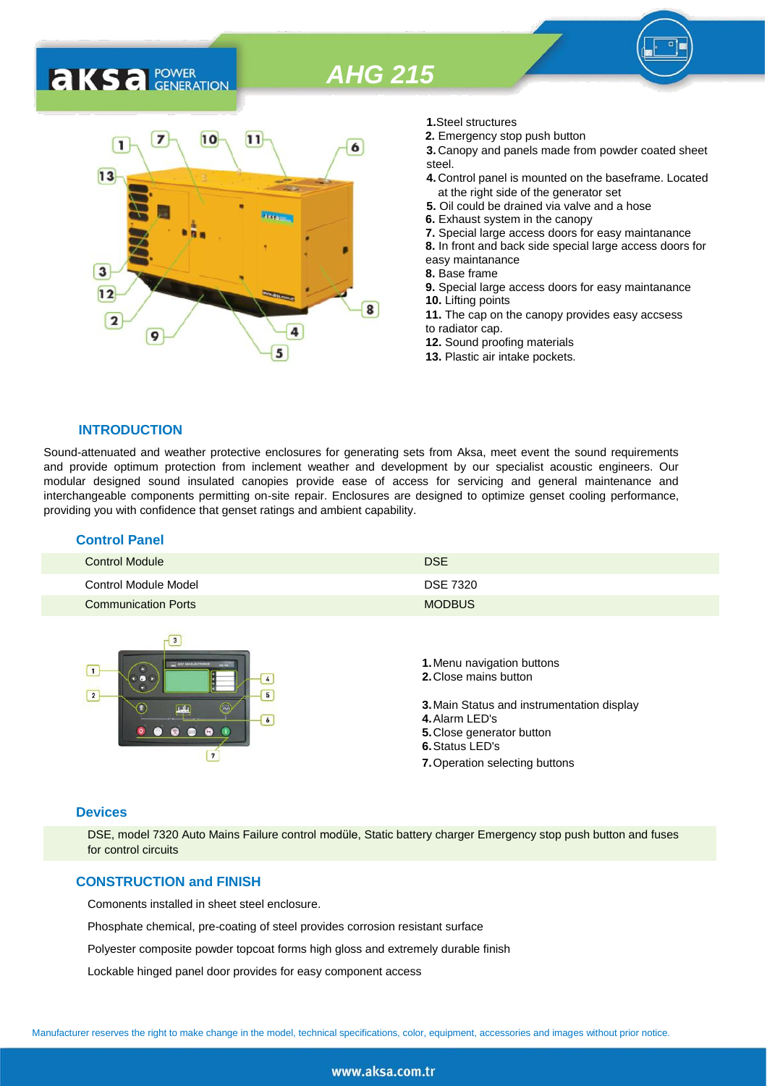# *AHG 215*



- **1.**Steel structures
- **2.** Emergency stop push button<br>**4. 2.** Canopy and panels made from

**3.** Canopy and panels made from powder coated sheet steel.

- **4.** Control panel is mounted on the baseframe. Located at the right side of the generator set
- **5.** Oil could be drained via valve and a hose
- **6.** Exhaust system in the canopy
- **7.** Special large access doors for easy maintanance

**8.** In front and back side special large access doors for easy maintanance

- **8.** Base frame
- **9.** Special large access doors for easy maintanance **10.** Lifting points

**11.** The cap on the canopy provides easy accsess to radiator cap.

- **12.** Sound proofing materials
- **13.** Plastic air intake pockets.

#### **INTRODUCTION**

Sound-attenuated and weather protective enclosures for generating sets from Aksa, meet event the sound requirements and provide optimum protection from inclement weather and development by our specialist acoustic engineers. Our modular designed sound insulated canopies provide ease of access for servicing and general maintenance and interchangeable components permitting on-site repair. Enclosures are designed to optimize genset cooling performance, providing you with confidence that genset ratings and ambient capability.

# **Control Panel Control Module** DSE **DSE** Control Module Model **DSE 7320** Communication Ports **MODBUS**



#### **Devices**

DSE, model 7320 Auto Mains Failure control modüle, Static battery charger Emergency stop push button and fuses for control circuits

### **CONSTRUCTION and FINISH**

Comonents installed in sheet steel enclosure.

Phosphate chemical, pre-coating of steel provides corrosion resistant surface

Polyester composite powder topcoat forms high gloss and extremely durable finish

Lockable hinged panel door provides for easy component access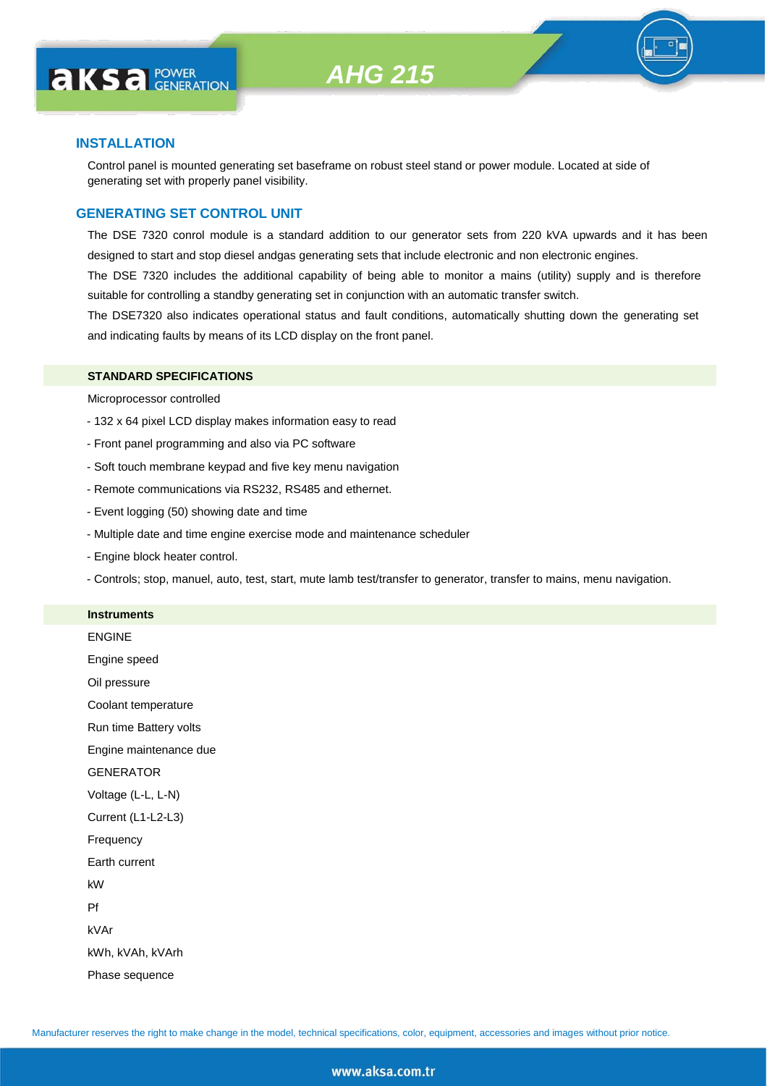

#### **INSTALLATION**

Control panel is mounted generating set baseframe on robust steel stand or power module. Located at side of generating set with properly panel visibility.

#### **GENERATING SET CONTROL UNIT**

The DSE 7320 conrol module is a standard addition to our generator sets from 220 kVA upwards and it has been designed to start and stop diesel andgas generating sets that include electronic and non electronic engines.

The DSE 7320 includes the additional capability of being able to monitor a mains (utility) supply and is therefore suitable for controlling a standby generating set in conjunction with an automatic transfer switch.

The DSE7320 also indicates operational status and fault conditions, automatically shutting down the generating set and indicating faults by means of its LCD display on the front panel.

#### **STANDARD SPECIFICATIONS**

Microprocessor controlled

- 132 x 64 pixel LCD display makes information easy to read
- Front panel programming and also via PC software
- Soft touch membrane keypad and five key menu navigation
- Remote communications via RS232, RS485 and ethernet.
- Event logging (50) showing date and time
- Multiple date and time engine exercise mode and maintenance scheduler
- Engine block heater control.
- Controls; stop, manuel, auto, test, start, mute lamb test/transfer to generator, transfer to mains, menu navigation.

#### **Instruments**

ENGINE Engine speed Oil pressure Coolant temperature Run time Battery volts Engine maintenance due **GENERATOR** Voltage (L-L, L-N) Current (L1-L2-L3) Frequency Earth current kW Pf kVAr kWh, kVAh, kVArh

Phase sequence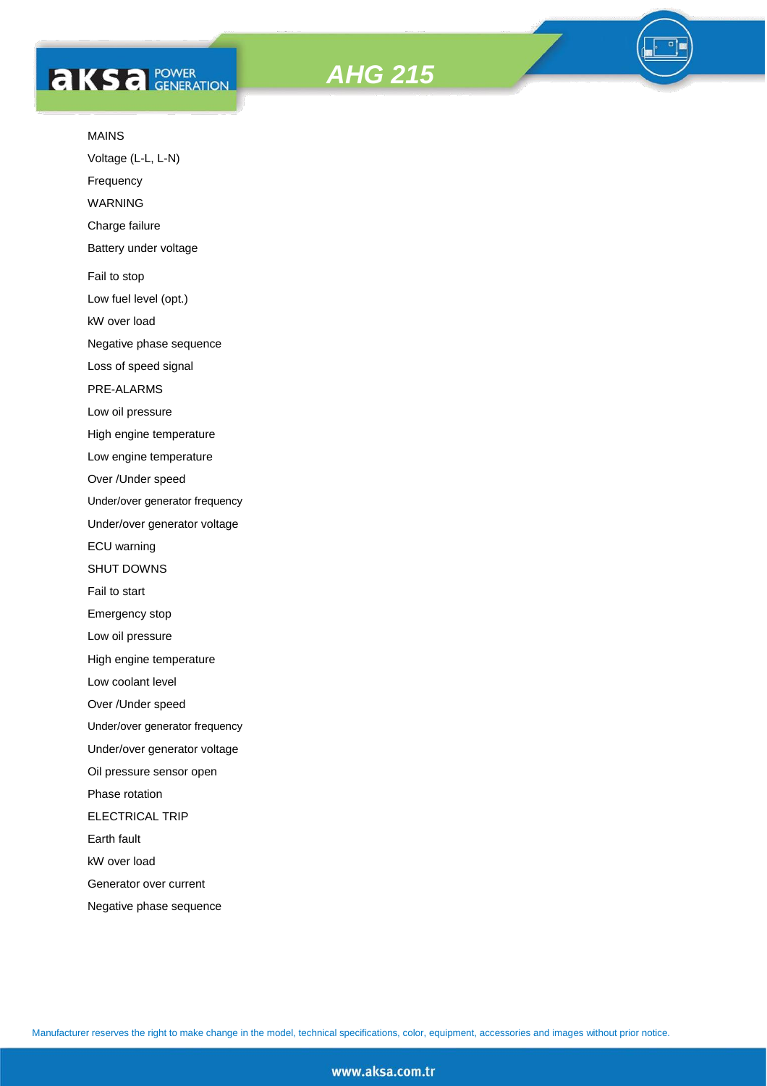



MAINS

Voltage (L-L, L-N)

Frequency

WARNING

Charge failure

Battery under voltage

Fail to stop

Low fuel level (opt.)

kW over load

Negative phase sequence

Loss of speed signal

PRE-ALARMS

Low oil pressure

High engine temperature

Low engine temperature

Over /Under speed

Under/over generator frequency

Under/over generator voltage

ECU warning

SHUT DOWNS

Fail to start

Emergency stop

Low oil pressure

High engine temperature

Low coolant level

Over /Under speed

Under/over generator frequency

Under/over generator voltage

Oil pressure sensor open

Phase rotation

ELECTRICAL TRIP

Earth fault

kW over load

Generator over current

Negative phase sequence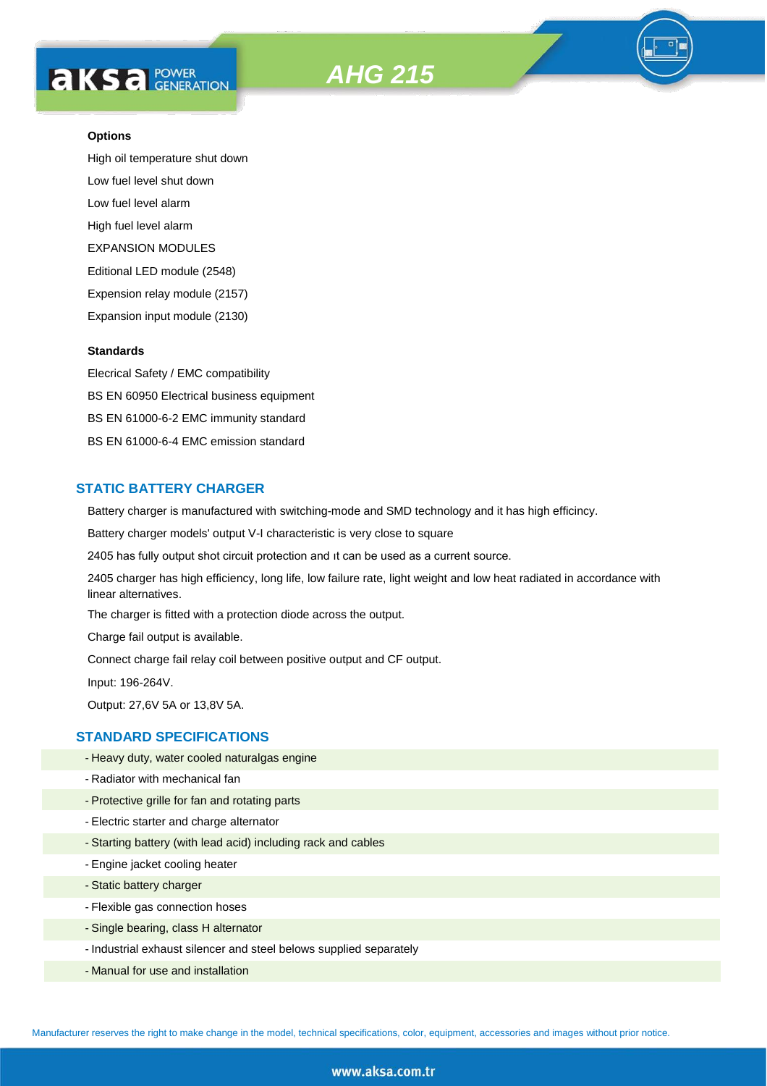

#### **Options**

High oil temperature shut down Low fuel level shut down Low fuel level alarm High fuel level alarm EXPANSION MODULES Editional LED module (2548) Expension relay module (2157) Expansion input module (2130)

#### **Standards**

Elecrical Safety / EMC compatibility BS EN 60950 Electrical business equipment BS EN 61000-6-2 EMC immunity standard BS EN 61000-6-4 EMC emission standard

#### **STATIC BATTERY CHARGER**

Battery charger is manufactured with switching-mode and SMD technology and it has high efficincy.

Battery charger models' output V-I characteristic is very close to square

2405 has fully output shot circuit protection and ıt can be used as a current source.

2405 charger has high efficiency, long life, low failure rate, light weight and low heat radiated in accordance with linear alternatives.

The charger is fitted with a protection diode across the output.

Charge fail output is available.

Connect charge fail relay coil between positive output and CF output.

Input: 196-264V.

Output: 27,6V 5A or 13,8V 5A.

#### **STANDARD SPECIFICATIONS**

- Heavy duty, water cooled naturalgas engine
- Radiator with mechanical fan
- Protective grille for fan and rotating parts
- Electric starter and charge alternator
- Starting battery (with lead acid) including rack and cables
- Engine jacket cooling heater
- Static battery charger
- Flexible gas connection hoses
- Single bearing, class H alternator
- Industrial exhaust silencer and steel belows supplied separately
- Manual for use and installation